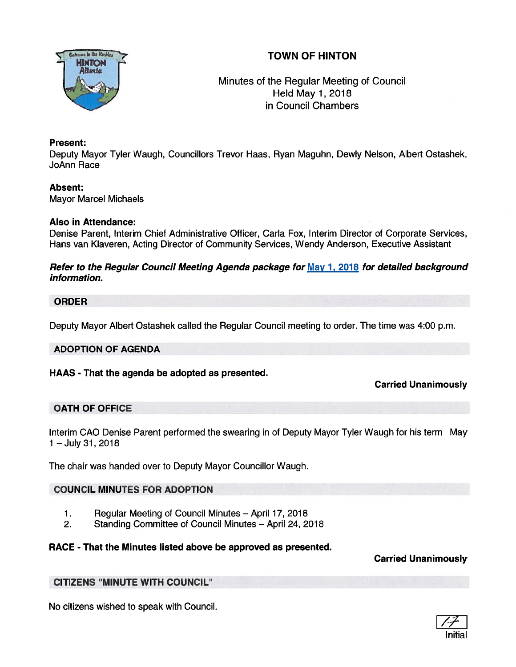# TOWN OF HINTON



Minutes of the Regular Meeting of Council **Held May 1, 2018** in Council Chambers

## Present:

Deputy Mayor Tyler Waugh, Councillors Trevor Haas, Ryan Maguhn, Dewly Nelson, Albert Ostashek, JoAnn Race

## Absent:

Mayor Marcel Michaels

### Also in Attendance:

Denise Parent, Interim Chief Administrative Officer, Carla Fox, Interim Director of Corporate Services, Hans van Klaveren, Acting Director of Community Services, Wendy Anderson, Executive Assistant

Refer to the Regular Council Meeting Agenda package for May 1, 2018 for detailed background information.

### ORDER

Deputy Mayor Albert Ostashek called the Regular Council meeting to order. The time was 4:00 p.m.

### ADOPTION OF AGENDA

## HAAS - That the agenda be adopted as presented.

## Carried Unanimously

## OATH OF OFFICE

Interim GAO Denise Parent performed the swearing in of Deputy Mayor Tyler Waugh for his term May 1—July 31,2018

The chair was handed over to Deputy Mayor Councillor Waugh.

## COUNCIL MINUTES FOR ADOPTION

- 1. Regular Meeting of Council Minutes April 17, 2018
- 2. Standing Committee of Council Minutes April 24, 2018

## RACE - That the Minutes listed above be approved as presented.

## Carried Unanimously

## CITIZENS 'MINUTE WITH COUNCIL"

No citizens wished to speak with Council.

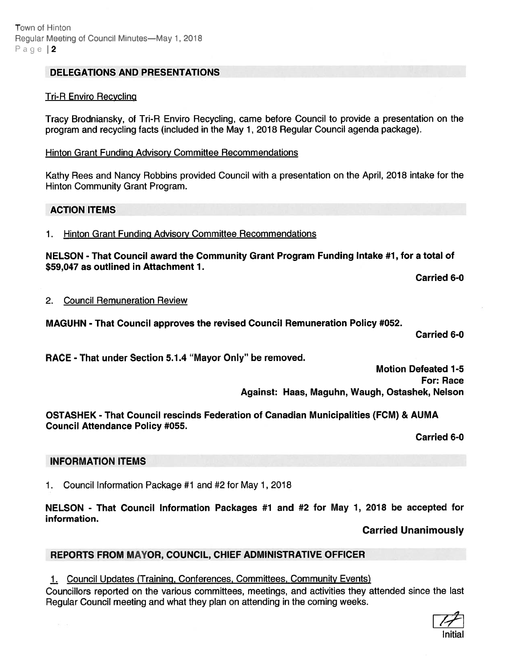## DELEGATIONS AND PRESENTATIONS

#### Tri-R Enviro Recycling

Tracy Brodniansky, of Tn-A Enviro Recycling, came before Council to provide <sup>a</sup> presentation on the program and recycling facts (included in the May 1, 2018 Regular Council agenda package).

Hinton Grant Funding Advisory Committee Recommendations

Kathy Rees and Nancy Robbins provided Council with <sup>a</sup> presentation on the April, 2018 intake for the Hinton Community Grant Program.

#### ACTION ITEMS

1. Hinton Grant Funding Advisory Committee Recommendations

NELSON - That Council award the Community Grant Program Funding Intake #1, for <sup>a</sup> total of \$59,047 as outlined in Attachment 1.

Carried 6-0

#### 2. Council Remuneration Review

MAGUHN -That Council approves the revised Council Remuneration Policy #052.

Carried 6-0

RACE -That under Section 5.1.4 "Mayor Only" be removed.

Motion Defeated 1-5 For: Race Against: Haas, Maguhn, Waugh, Ostashek, Nelson

OSTASHEK - That Council rescinds Federation of Canadian Municipalities (FCM) & AUMA Council Attendance Policy #055.

Carried 6-0

### INFORMATION ITEMS

1. Council Information Package #1 and #2 for May 1, 2018

NELSON - That Council Information Packages #1 and #2 for May 1, 2018 be accepted for information.

Carried Unanimously

### REPORTS FROM MAYOR, COUNCIL, CHIEF ADMINISTRATIVE OFFICER

## 1. Council Updates (Training, Conferences, Committees, Community Events)

Councillors reported on the various committees, meetings, and activities they attended since the last Regular Council meeting and what they plan on attending in the coming weeks.